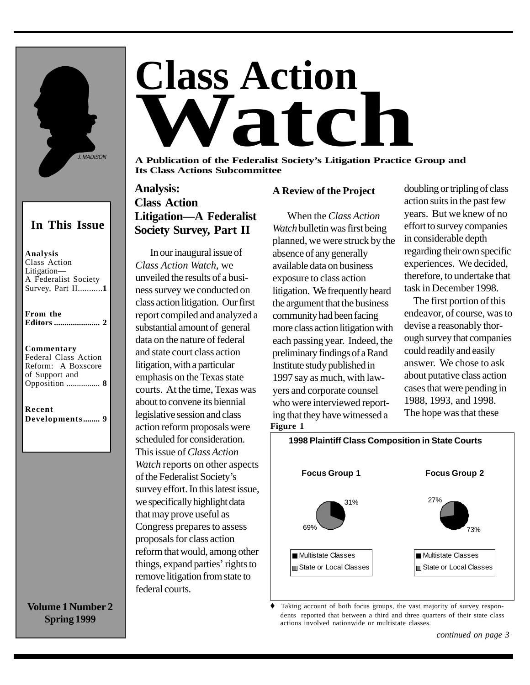

### **In This Issue**

**Analysis** Class Action Litigation— A Federalist Society Survey, Part II...........**1**

**From the Editors ...................... 2**

### **Commentarys**

| <b>Federal Class Action</b> |  |
|-----------------------------|--|
| Reform: A Boxscore          |  |
| of Support and              |  |
|                             |  |
|                             |  |

**Recent Developments........ 9**

**Volume 1 Number 2 Spring 1999**

# **Class Action Watch**

**A Publication of the Federalist Society's Litigation Practice Group and Its Class Actions Subcommittee**

### **Analysis: Class Action Litigation—A Federalist Society Survey, Part II**

In our inaugural issue of *Class Action Watch*, we unveiled the results of a business survey we conducted on class action litigation. Our first report compiled and analyzed a substantial amount of general data on the nature of federal and state court class action litigation, with a particular emphasis on the Texas state courts. At the time, Texas was about to convene its biennial legislative session and class action reform proposals were scheduled for consideration. This issue of *Class Action Watch* reports on other aspects of the Federalist Society's survey effort. In this latest issue, we specifically highlight data that may prove useful as Congress prepares to assess proposals for class action reform that would, among other things, expand parties' rights to remove litigation from state to federal courts.

### **A Review of the Project**

When the *Class Action Watch* bulletin was first being planned, we were struck by the absence of any generally available data on business exposure to class action litigation. We frequently heard the argument that the business community had been facing more class action litigation with each passing year. Indeed, the preliminary findings of a Rand Institute study published in 1997 say as much, with lawyers and corporate counsel who were interviewed reporting that they have witnessed a **Figure 1**

doubling or tripling of class action suits in the past few years. But we knew of no effort to survey companies in considerable depth regarding their own specific experiences. We decided, therefore, to undertake that task in December 1998.

 The first portion of this endeavor, of course, was to devise a reasonably thorough survey that companies could readily and easily answer. We chose to ask about putative class action cases that were pending in 1988, 1993, and 1998. The hope was that these



Taking account of both focus groups, the vast majority of survey respondents reported that between a third and three quarters of their state class actions involved nationwide or multistate classes.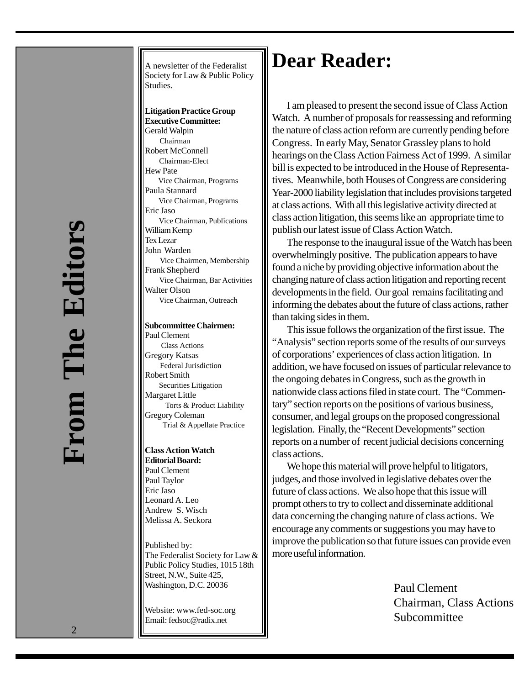A newsletter of the Federalist Society for Law & Public Policy Studies.

**Litigation Practice Group Executive Committee:** Gerald Walpin Chairman Robert McConnell Chairman-Elect Hew Pate Vice Chairman, Programs Paula Stannard Vice Chairman, Programs Eric Jaso Vice Chairman, Publications William Kemp Tex Lezar John Warden Vice Chairmen, Membership Frank Shepherd Vice Chairman, Bar Activities Walter Olson Vice Chairman, Outreach

### **Subcommittee Chairmen:**

Paul Clement Class Actions Gregory Katsas Federal Jurisdiction Robert Smith Securities Litigation Margaret Little Torts & Product Liability Gregory Coleman Trial & Appellate Practice

**Class Action Watch Editorial Board:** Paul Clement Paul Taylor Eric Jaso Leonard A. Leo Andrew S. Wisch Melissa A. Seckora

Published by: The Federalist Society for Law & Public Policy Studies, 1015 18th Street, N.W., Suite 425, Washington, D.C. 20036

Website: www.fed-soc.org Email: fedsoc@radix.net

## **Dear Reader:**

I am pleased to present the second issue of Class Action Watch. A number of proposals for reassessing and reforming the nature of class action reform are currently pending before Congress. In early May, Senator Grassley plans to hold hearings on the Class Action Fairness Act of 1999. A similar bill is expected to be introduced in the House of Representatives. Meanwhile, both Houses of Congress are considering Year-2000 liability legislation that includes provisions targeted at class actions. With all this legislative activity directed at class action litigation, this seems like an appropriate time to publish our latest issue of Class Action Watch.

The response to the inaugural issue of the Watch has been overwhelmingly positive. The publication appears to have found a niche by providing objective information about the changing nature of class action litigation and reporting recent developments in the field. Our goal remains facilitating and informing the debates about the future of class actions, rather than taking sides in them.

This issue follows the organization of the first issue. The "Analysis" section reports some of the results of our surveys of corporations' experiences of class action litigation. In addition, we have focused on issues of particular relevance to the ongoing debates in Congress, such as the growth in nationwide class actions filed in state court. The "Commentary" section reports on the positions of various business, consumer, and legal groups on the proposed congressional legislation. Finally, the "Recent Developments" section reports on a number of recent judicial decisions concerning class actions.

We hope this material will prove helpful to litigators, judges, and those involved in legislative debates over the future of class actions. We also hope that this issue will prompt others to try to collect and disseminate additional data concerning the changing nature of class actions. We encourage any comments or suggestions you may have to improve the publication so that future issues can provide even more useful information.

> Paul Clement Chairman, Class Actions Subcommittee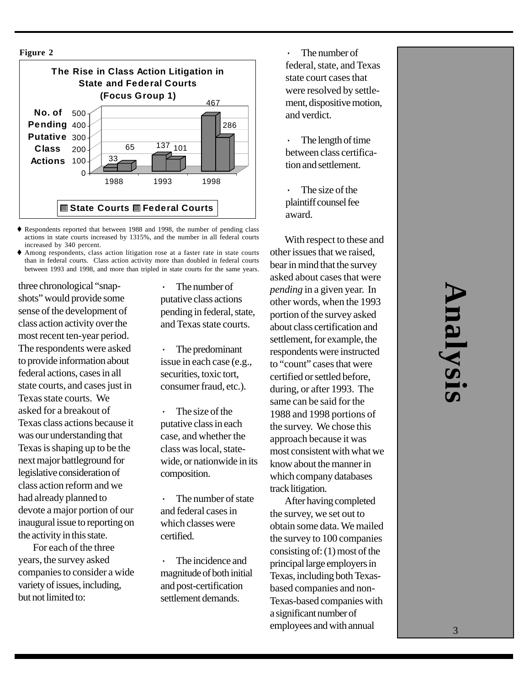

 $\blacklozenge$  Respondents reported that between 1988 and 1998, the number of pending class actions in state courts increased by 1315%, and the number in all federal courts increased by 340 percent.

t Among respondents, class action litigation rose at a faster rate in state courts than in federal courts. Class action activity more than doubled in federal courts between 1993 and 1998, and more than tripled in state courts for the same years.

three chronological "snapshots" would provide some sense of the development of class action activity over the most recent ten-year period. The respondents were asked to provide information about federal actions, cases in all state courts, and cases just in Texas state courts. We asked for a breakout of Texas class actions because it was our understanding that Texas is shaping up to be the next major battleground for legislative consideration of class action reform and we had already planned to devote a major portion of our inaugural issue to reporting on the activity in this state.

For each of the three years, the survey asked companies to consider a wide variety of issues, including, but not limited to:

The number of putative class actions pending in federal, state, and Texas state courts.

· The predominant issue in each case (e.g., securities, toxic tort, consumer fraud, etc.).

The size of the putative class in each case, and whether the class was local, statewide, or nationwide in its composition.

The number of state and federal cases in which classes were certified.

· The incidence and magnitude of both initial and post-certification settlement demands.

The number of federal, state, and Texas state court cases that were resolved by settlement, dispositive motion, and verdict.

The length of time between class certification and settlement.

The size of the plaintiff counsel fee award.

With respect to these and other issues that we raised, bear in mind that the survey asked about cases that were *pending* in a given year. In other words, when the 1993 portion of the survey asked about class certification and settlement, for example, the respondents were instructed to "count" cases that were certified or settled before, during, or after 1993. The same can be said for the 1988 and 1998 portions of the survey. We chose this approach because it was most consistent with what we know about the manner in which company databases track litigation.

After having completed the survey, we set out to obtain some data. We mailed the survey to 100 companies consisting of: (1) most of the principal large employers in Texas, including both Texasbased companies and non-Texas-based companies with a significant number of employees and with annual

# 3**Analysis** nalysi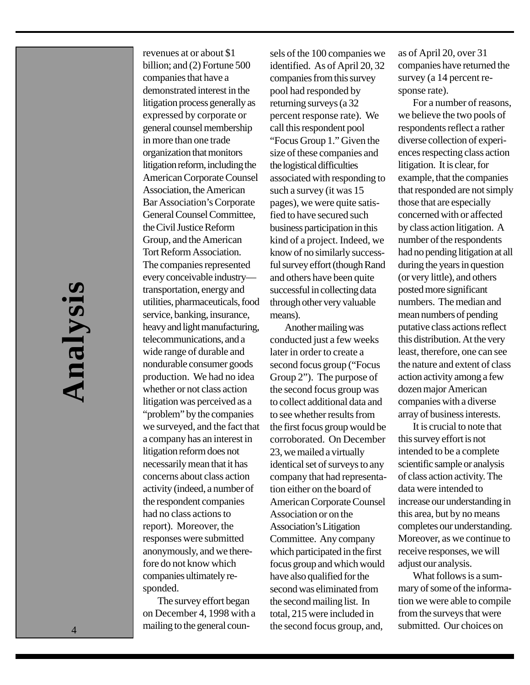4 **Analysis** hnalysi

revenues at or about \$1 billion; and (2) Fortune 500 companies that have a demonstrated interest in the litigation process generally as expressed by corporate or general counsel membership in more than one trade organization that monitors litigation reform, including the American Corporate Counsel Association, the American Bar Association's Corporate General Counsel Committee, the Civil Justice Reform Group, and the American Tort Reform Association. The companies represented every conceivable industry transportation, energy and utilities, pharmaceuticals, food service, banking, insurance, heavy and light manufacturing, telecommunications, and a wide range of durable and nondurable consumer goods production. We had no idea whether or not class action litigation was perceived as a "problem" by the companies we surveyed, and the fact that a company has an interest in litigation reform does not necessarily mean that it has concerns about class action activity (indeed, a number of the respondent companies had no class actions to report). Moreover, the responses were submitted anonymously, and we therefore do not know which companies ultimately responded.

The survey effort began on December 4, 1998 with a mailing to the general counsels of the 100 companies we identified. As of April 20, 32 companies from this survey pool had responded by returning surveys (a 32 percent response rate). We call this respondent pool "Focus Group 1." Given the size of these companies and the logistical difficulties associated with responding to such a survey (it was 15 pages), we were quite satisfied to have secured such business participation in this kind of a project. Indeed, we know of no similarly successful survey effort (though Rand and others have been quite successful in collecting data through other very valuable means).

Another mailing was conducted just a few weeks later in order to create a second focus group ("Focus Group 2"). The purpose of the second focus group was to collect additional data and to see whether results from the first focus group would be corroborated. On December 23, we mailed a virtually identical set of surveys to any company that had representation either on the board of American Corporate Counsel Association or on the Association's Litigation Committee. Any company which participated in the first focus group and which would have also qualified for the second was eliminated from the second mailing list. In total, 215 were included in the second focus group, and,

as of April 20, over 31 companies have returned the survey (a 14 percent response rate).

For a number of reasons, we believe the two pools of respondents reflect a rather diverse collection of experiences respecting class action litigation. It is clear, for example, that the companies that responded are not simply those that are especially concerned with or affected by class action litigation. A number of the respondents had no pending litigation at all during the years in question (or very little), and others posted more significant numbers. The median and mean numbers of pending putative class actions reflect this distribution. At the very least, therefore, one can see the nature and extent of class action activity among a few dozen major American companies with a diverse array of business interests.

It is crucial to note that this survey effort is not intended to be a complete scientific sample or analysis of class action activity. The data were intended to increase our understanding in this area, but by no means completes our understanding. Moreover, as we continue to receive responses, we will adjust our analysis.

What follows is a summary of some of the information we were able to compile from the surveys that were submitted. Our choices on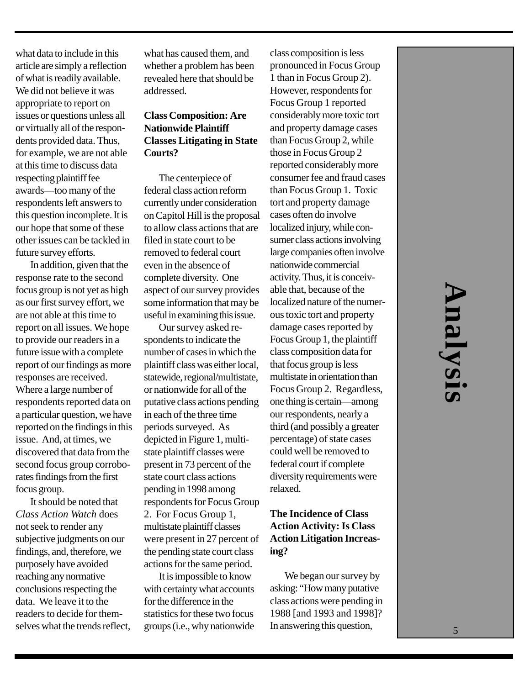what data to include in this article are simply a reflection of what is readily available. We did not believe it was appropriate to report on issues or questions unless all or virtually all of the respondents provided data. Thus, for example, we are not able at this time to discuss data respecting plaintiff fee awards—too many of the respondents left answers to this question incomplete. It is our hope that some of these other issues can be tackled in future survey efforts.

In addition, given that the response rate to the second focus group is not yet as high as our first survey effort, we are not able at this time to report on all issues. We hope to provide our readers in a future issue with a complete report of our findings as more responses are received. Where a large number of respondents reported data on a particular question, we have reported on the findings in this issue. And, at times, we discovered that data from the second focus group corroborates findings from the first focus group.

It should be noted that *Class Action Watch* does not seek to render any subjective judgments on our findings, and, therefore, we purposely have avoided reaching any normative conclusions respecting the data. We leave it to the readers to decide for themselves what the trends reflect, what has caused them, and whether a problem has been revealed here that should be addressed.

### **Class Composition: Are Nationwide Plaintiff Classes Litigating in State Courts?**

The centerpiece of federal class action reform currently under consideration on Capitol Hill is the proposal to allow class actions that are filed in state court to be removed to federal court even in the absence of complete diversity. One aspect of our survey provides some information that may be useful in examining this issue.

Our survey asked respondents to indicate the number of cases in which the plaintiff class was either local, statewide, regional/multistate, or nationwide for all of the putative class actions pending in each of the three time periods surveyed. As depicted in Figure 1, multistate plaintiff classes were present in 73 percent of the state court class actions pending in 1998 among respondents for Focus Group 2. For Focus Group 1, multistate plaintiff classes were present in 27 percent of the pending state court class actions for the same period.

It is impossible to know with certainty what accounts for the difference in the statistics for these two focus groups (i.e., why nationwide

class composition is less pronounced in Focus Group 1 than in Focus Group 2). However, respondents for Focus Group 1 reported considerably more toxic tort and property damage cases than Focus Group 2, while those in Focus Group 2 reported considerably more consumer fee and fraud cases than Focus Group 1. Toxic tort and property damage cases often do involve localized injury, while consumer class actions involving large companies often involve nationwide commercial activity. Thus, it is conceivable that, because of the localized nature of the numerous toxic tort and property damage cases reported by Focus Group 1, the plaintiff class composition data for that focus group is less multistate in orientation than Focus Group 2. Regardless, one thing is certain—among our respondents, nearly a third (and possibly a greater percentage) of state cases could well be removed to federal court if complete diversity requirements were relaxed.

### **The Incidence of Class Action Activity: Is Class Action Litigation Increasing?**

We began our survey by asking: "How many putative class actions were pending in 1988 [and 1993 and 1998]? In answering this question,

# 5**Analysis** halysis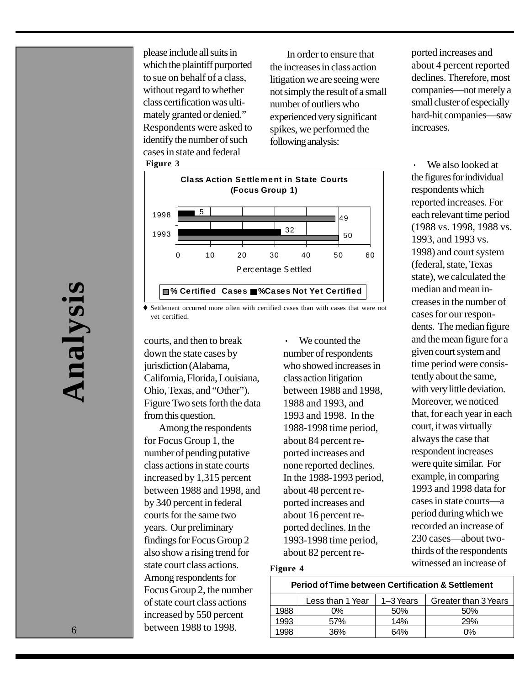**Figure 3** please include all suits in which the plaintiff purported to sue on behalf of a class, without regard to whether class certification was ultimately granted or denied." Respondents were asked to identify the number of such cases in state and federal

 In order to ensure that the increases in class action litigation we are seeing were not simply the result of a small number of outliers who experienced very significant spikes, we performed the following analysis:



 $\blacklozenge$  Settlement occurred more often with certified cases than with cases that were not yet certified.

courts, and then to break down the state cases by jurisdiction (Alabama, California, Florida, Louisiana, Ohio, Texas, and "Other"). Figure Two sets forth the data from this question.

Among the respondents for Focus Group 1, the number of pending putative class actions in state courts increased by 1,315 percent between 1988 and 1998, and by 340 percent in federal courts for the same two years. Our preliminary findings for Focus Group 2 also show a rising trend for state court class actions. Among respondents for Focus Group 2, the number of state court class actions increased by 550 percent between 1988 to 1998.

We counted the number of respondents who showed increases in class action litigation between 1988 and 1998, 1988 and 1993, and 1993 and 1998. In the 1988-1998 time period, about 84 percent reported increases and none reported declines. In the 1988-1993 period, about 48 percent reported increases and about 16 percent reported declines. In the 1993-1998 time period, about 82 percent reported increases and about 4 percent reported declines. Therefore, most companies—not merely a small cluster of especially hard-hit companies—saw increases.

We also looked at the figures for individual respondents which reported increases. For each relevant time period (1988 vs. 1998, 1988 vs. 1993, and 1993 vs. 1998) and court system (federal, state, Texas state), we calculated the median and mean increases in the number of cases for our respondents. The median figure and the mean figure for a given court system and time period were consistently about the same, with very little deviation. Moreover, we noticed that, for each year in each court, it was virtually always the case that respondent increases were quite similar. For example, in comparing 1993 and 1998 data for cases in state courts—a period during which we recorded an increase of 230 cases—about twothirds of the respondents witnessed an increase of

### **Figure 4**

### **Period of Time between Certification & Settlement**

|      | Less than 1 Year | 1-3 Years | Greater than 3 Years |
|------|------------------|-----------|----------------------|
| 1988 | በ%               | 50%       | .50%                 |
| 1993 | 57%              | 14%       | 29%                  |
| 1998 | 36%              | 64%       | 0%                   |
|      |                  |           |                      |

6 **Analysis** Analysi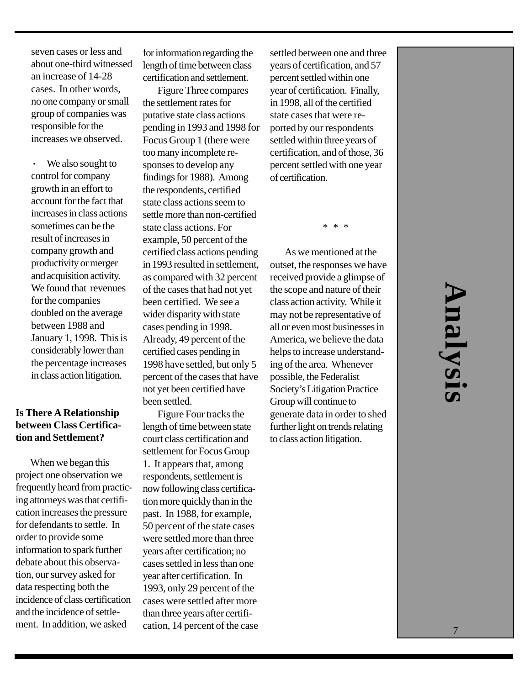seven cases or less and about one-third witnessed an increase of 14-28 cases. In other words, no one company or small group of companies was responsible for the increases we observed.

We also sought to control for company growth in an effort to account for the fact that increases in class actions sometimes can be the result of increases in company growth and productivity or merger and acquisition activity. We found that revenues for the companies doubled on the average between 1988 and January 1, 1998. This is considerably lower than the percentage increases in class action litigation.

### **Is There A Relationship between Class Certification and Settlement?**

When we began this project one observation we frequently heard from practicing attorneys was that certification increases the pressure for defendants to settle. In order to provide some information to spark further debate about this observation, our survey asked for data respecting both the incidence of class certification and the incidence of settlement. In addition, we asked

for information regarding the length of time between class certification and settlement.

Figure Three compares the settlement rates for putative state class actions pending in 1993 and 1998 for Focus Group 1 (there were too many incomplete responses to develop any findings for 1988). Among the respondents, certified state class actions seem to settle more than non-certified state class actions. For example, 50 percent of the certified class actions pending in 1993 resulted in settlement, as compared with 32 percent of the cases that had not yet been certified. We see a wider disparity with state cases pending in 1998. Already, 49 percent of the certified cases pending in 1998 have settled, but only 5 percent of the cases that have not yet been certified have been settled.

Figure Four tracks the length of time between state court class certification and settlement for Focus Group 1. It appears that, among respondents, settlement is now following class certification more quickly than in the past. In 1988, for example, 50 percent of the state cases were settled more than three years after certification; no cases settled in less than one year after certification. In 1993, only 29 percent of the cases were settled after more than three years after certification, 14 percent of the case

settled between one and three years of certification, and 57 percent settled within one year of certification. Finally, in 1998, all of the certified state cases that were reported by our respondents settled within three years of certification, and of those, 36 percent settled with one year of certification.

 $\ast$ 

As we mentioned at the outset, the responses we have received provide a glimpse of the scope and nature of their class action activity. While it may not be representative of all or even most businesses in America, we believe the data helps to increase understanding of the area. Whenever possible, the Federalist Society's Litigation Practice Group will continue to generate data in order to shed further light on trends relating to class action litigation.

# 7**Analysis** inalysi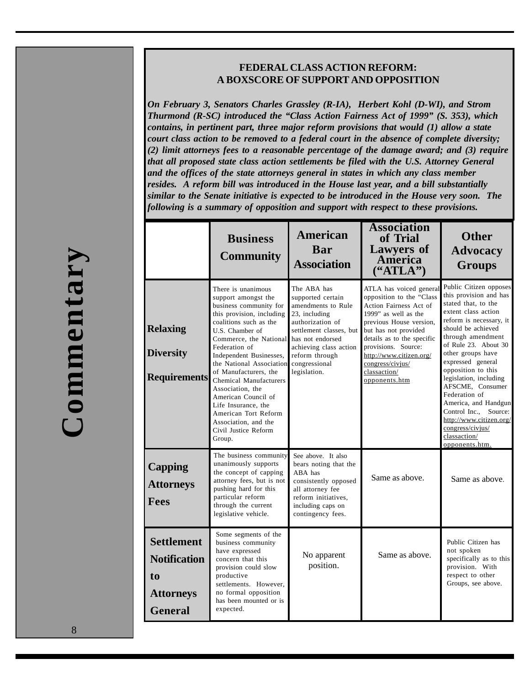### **FEDERAL CLASS ACTION REFORM: A BOXSCORE OF SUPPORT AND OPPOSITION**

*On February 3, Senators Charles Grassley (R-IA), Herbert Kohl (D-WI), and Strom Thurmond (R-SC) introduced the "Class Action Fairness Act of 1999" (S. 353), which contains, in pertinent part, three major reform provisions that would (1) allow a state court class action to be removed to a federal court in the absence of complete diversity; (2) limit attorneys fees to a reasonable percentage of the damage award; and (3) require that all proposed state class action settlements be filed with the U.S. Attorney General and the offices of the state attorneys general in states in which any class member resides. A reform bill was introduced in the House last year, and a bill substantially similar to the Senate initiative is expected to be introduced in the House very soon. The following is a summary of opposition and support with respect to these provisions.*

|                                                                                      | <b>Business</b><br><b>Community</b>                                                                                                                                                                                                                                                                                                                                                                                                                           | <b>American</b><br>Bar<br><b>Association</b>                                                                                                                                                                            | <b>Association</b><br>of Trial<br><b>Lawyers of</b><br>America<br>("ATLA")                                                                                                                                                                                                                    | <b>Other</b><br><b>Advocacy</b><br><b>Groups</b>                                                                                                                                                                                                                                                                                                                                                                                                              |
|--------------------------------------------------------------------------------------|---------------------------------------------------------------------------------------------------------------------------------------------------------------------------------------------------------------------------------------------------------------------------------------------------------------------------------------------------------------------------------------------------------------------------------------------------------------|-------------------------------------------------------------------------------------------------------------------------------------------------------------------------------------------------------------------------|-----------------------------------------------------------------------------------------------------------------------------------------------------------------------------------------------------------------------------------------------------------------------------------------------|---------------------------------------------------------------------------------------------------------------------------------------------------------------------------------------------------------------------------------------------------------------------------------------------------------------------------------------------------------------------------------------------------------------------------------------------------------------|
| <b>Relaxing</b><br><b>Diversity</b><br><b>Requirements</b>                           | There is unanimous<br>support amongst the<br>business community for<br>this provision, including<br>coalitions such as the<br>U.S. Chamber of<br>Commerce, the National<br>Federation of<br>Independent Businesses,<br>the National Association<br>of Manufacturers, the<br><b>Chemical Manufacturers</b><br>Association, the<br>American Council of<br>Life Insurance, the<br>American Tort Reform<br>Association, and the<br>Civil Justice Reform<br>Group. | The ABA has<br>supported certain<br>amendments to Rule<br>23, including<br>authorization of<br>settlement classes, but<br>has not endorsed<br>achieving class action<br>reform through<br>congressional<br>legislation. | ATLA has voiced general<br>opposition to the "Class<br>Action Fairness Act of<br>1999" as well as the<br>previous House version,<br>but has not provided<br>details as to the specific<br>provisions. Source:<br>http://www.citizen.org/<br>congress/civjus/<br>classaction/<br>opponents.htm | Public Citizen opposes<br>this provision and has<br>stated that, to the<br>extent class action<br>reform is necessary, it<br>should be achieved<br>through amendment<br>of Rule 23. About 30<br>other groups have<br>expressed general<br>opposition to this<br>legislation, including<br>AFSCME, Consumer<br>Federation of<br>America, and Handgun<br>Control Inc., Source:<br>http://www.citizen.org/<br>congress/civjus/<br>classaction/<br>opponents.htm. |
| <b>Capping</b><br><b>Attorneys</b><br><b>Fees</b>                                    | The business community<br>unanimously supports<br>the concept of capping<br>attorney fees, but is not<br>pushing hard for this<br>particular reform<br>through the current<br>legislative vehicle.                                                                                                                                                                                                                                                            | See above. It also<br>bears noting that the<br>ABA has<br>consistently opposed<br>all attorney fee<br>reform initiatives.<br>including caps on<br>contingency fees.                                                     | Same as above.                                                                                                                                                                                                                                                                                | Same as above.                                                                                                                                                                                                                                                                                                                                                                                                                                                |
| <b>Settlement</b><br><b>Notification</b><br>to<br><b>Attorneys</b><br><b>General</b> | Some segments of the<br>business community<br>have expressed<br>concern that this<br>provision could slow<br>productive<br>settlements. However.<br>no formal opposition<br>has been mounted or is<br>expected.                                                                                                                                                                                                                                               | No apparent<br>position.                                                                                                                                                                                                | Same as above.                                                                                                                                                                                                                                                                                | Public Citizen has<br>not spoken<br>specifically as to this<br>provision. With<br>respect to other<br>Groups, see above.                                                                                                                                                                                                                                                                                                                                      |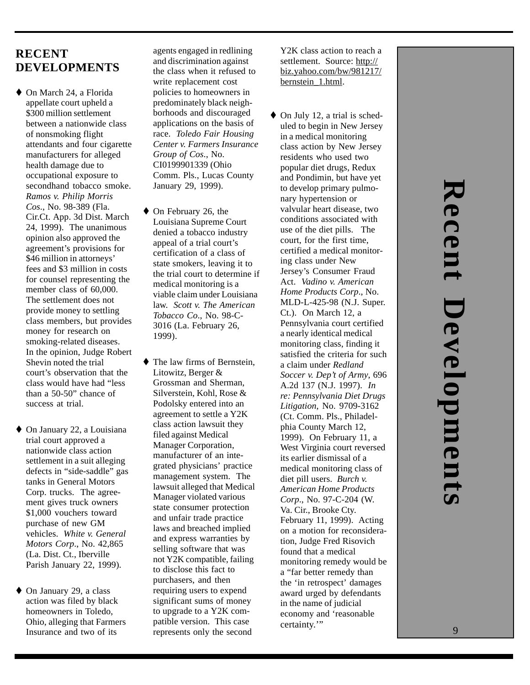## 9

### **RECENT DEVELOPMENTS**

- $\blacklozenge$  On March 24, a Florida appellate court upheld a \$300 million settlement between a nationwide class of nonsmoking flight attendants and four cigarette manufacturers for alleged health damage due to occupational exposure to secondhand tobacco smoke. *Ramos v. Philip Morris Cos*., No. 98-389 (Fla. Cir.Ct. App. 3d Dist. March 24, 1999). The unanimous opinion also approved the agreement's provisions for \$46 million in attorneys' fees and \$3 million in costs for counsel representing the member class of 60,000. The settlement does not provide money to settling class members, but provides money for research on smoking-related diseases. In the opinion, Judge Robert Shevin noted the trial court's observation that the class would have had "less than a 50-50" chance of success at trial.
- $\blacklozenge$  On January 22, a Louisiana trial court approved a nationwide class action settlement in a suit alleging defects in "side-saddle" gas tanks in General Motors Corp. trucks. The agreement gives truck owners \$1,000 vouchers toward purchase of new GM vehicles. *White v. General Motors Corp*., No. 42,865 (La. Dist. Ct., Iberville Parish January 22, 1999).
- $\blacklozenge$  On January 29, a class action was filed by black homeowners in Toledo, Ohio, alleging that Farmers Insurance and two of its

agents engaged in redlining and discrimination against the class when it refused to write replacement cost policies to homeowners in predominately black neighborhoods and discouraged applications on the basis of race. *Toledo Fair Housing Center v. Farmers Insurance Group of Cos*., No. CI0199901339 (Ohio Comm. Pls., Lucas County January 29, 1999).

- $\blacklozenge$  On February 26, the Louisiana Supreme Court denied a tobacco industry appeal of a trial court's certification of a class of state smokers, leaving it to the trial court to determine if medical monitoring is a viable claim under Louisiana law. *Scott v. The American Tobacco Co*., No. 98-C-3016 (La. February 26, 1999).
- $\blacklozenge$  The law firms of Bernstein, Litowitz, Berger & Grossman and Sherman, Silverstein, Kohl, Rose & Podolsky entered into an agreement to settle a Y2K class action lawsuit they filed against Medical Manager Corporation, manufacturer of an integrated physicians' practice management system. The lawsuit alleged that Medical Manager violated various state consumer protection and unfair trade practice laws and breached implied and express warranties by selling software that was not Y2K compatible, failing to disclose this fact to purchasers, and then requiring users to expend significant sums of money to upgrade to a Y2K compatible version. This case represents only the second

Y2K class action to reach a settlement. Source: http:// biz.yahoo.com/bw/981217/ bernstein\_1.html.

 $\blacklozenge$  On July 12, a trial is scheduled to begin in New Jersey in a medical monitoring class action by New Jersey residents who used two popular diet drugs, Redux and Pondimin, but have yet to develop primary pulmonary hypertension or valvular heart disease, two conditions associated with use of the diet pills. The court, for the first time, certified a medical monitoring class under New Jersey's Consumer Fraud Act. *Vadino v. American Home Products Corp*., No. MLD-L-425-98 (N.J. Super. Ct.). On March 12, a Pennsylvania court certified a nearly identical medical monitoring class, finding it satisfied the criteria for such a claim under *Redland Soccer v. Dep't of Army*, 696 A.2d 137 (N.J. 1997). *In re: Pennsylvania Diet Drugs Litigation*, No. 9709-3162 (Ct. Comm. Pls., Philadelphia County March 12, 1999). On February 11, a West Virginia court reversed its earlier dismissal of a medical monitoring class of diet pill users. *Burch v. American Home Products Corp*., No. 97-C-204 (W. Va. Cir., Brooke Cty. February 11, 1999). Acting on a motion for reconsideration, Judge Fred Risovich found that a medical monitoring remedy would be a "far better remedy than the 'in retrospect' damages award urged by defendants in the name of judicial economy and 'reasonable certainty."

9**Recent Developments** Recent Development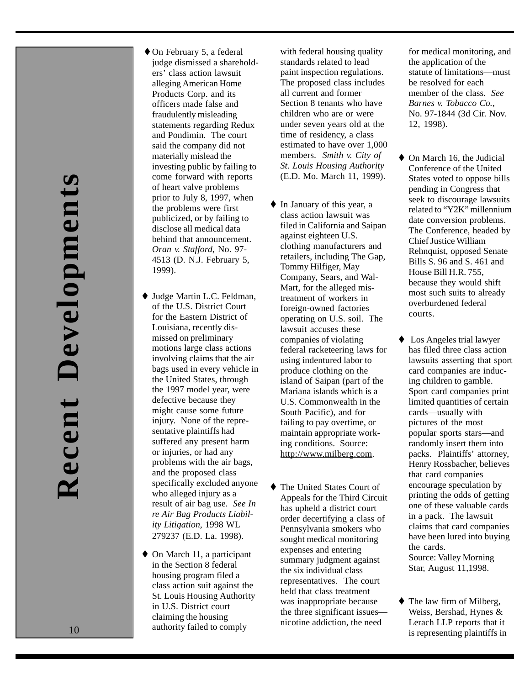- $\lozenge$  On February 5, a federal judge dismissed a shareholders' class action lawsuit alleging American Home Products Corp. and its officers made false and fraudulently misleading statements regarding Redux and Pondimin. The court said the company did not materially mislead the investing public by failing to come forward with reports of heart valve problems prior to July 8, 1997, when the problems were first publicized, or by failing to disclose all medical data behind that announcement. *Oran v. Stafford*, No. 97- 4513 (D. N.J. February 5, 1999).
- ◆ Judge Martin L.C. Feldman, of the U.S. District Court for the Eastern District of Louisiana, recently dismissed on preliminary motions large class actions involving claims that the air bags used in every vehicle in the United States, through the 1997 model year, were defective because they might cause some future injury. None of the representative plaintiffs had suffered any present harm or injuries, or had any problems with the air bags, and the proposed class specifically excluded anyone who alleged injury as a result of air bag use. *See In re Air Bag Products Liability Litigation*, 1998 WL 279237 (E.D. La. 1998).
- $\blacklozenge$  On March 11, a participant in the Section 8 federal housing program filed a class action suit against the St. Louis Housing Authority in U.S. District court claiming the housing authority failed to comply

with federal housing quality standards related to lead paint inspection regulations. The proposed class includes all current and former Section 8 tenants who have children who are or were under seven years old at the time of residency, a class estimated to have over 1,000 members. *Smith v. City of St. Louis Housing Authority* (E.D. Mo. March 11, 1999).

- $\blacklozenge$  In January of this year, a class action lawsuit was filed in California and Saipan against eighteen U.S. clothing manufacturers and retailers, including The Gap, Tommy Hilfiger, May Company, Sears, and Wal-Mart, for the alleged mistreatment of workers in foreign-owned factories operating on U.S. soil. The lawsuit accuses these companies of violating federal racketeering laws for using indentured labor to produce clothing on the island of Saipan (part of the Mariana islands which is a U.S. Commonwealth in the South Pacific), and for failing to pay overtime, or maintain appropriate working conditions. Source: http://www.milberg.com.
- $\blacklozenge$  The United States Court of Appeals for the Third Circuit has upheld a district court order decertifying a class of Pennsylvania smokers who sought medical monitoring expenses and entering summary judgment against the six individual class representatives. The court held that class treatment was inappropriate because the three significant issues nicotine addiction, the need

for medical monitoring, and the application of the statute of limitations—must be resolved for each member of the class. *See Barnes v. Tobacco Co.* , No. 97-1844 (3d Cir. Nov. 12, 1998).

- $\blacklozenge$  On March 16, the Judicial Conference of the United States voted to oppose bills pending in Congress that seek to discourage lawsuits related to "Y2K" millennium date conversion problems. The Conference, headed by Chief Justice William Rehnquist, opposed Senate Bills S. 96 and S. 461 and House Bill H.R. 755, because they would shift most such suits to already overburdened federal courts.
- $\triangle$  Los Angeles trial lawyer has filed three class action lawsuits asserting that sport card companies are inducing children to gamble. Sport card companies print limited quantities of certain cards—usually with pictures of the most popular sports stars—and randomly insert them into packs. Plaintiffs' attorney, Henry Rossbacher, believes that card companies encourage speculation by printing the odds of getting one of these valuable cards in a pack. The lawsuit claims that card companies have been lured into buying the cards. Source: Valley Morning Star, August 11,1998.
- $\blacklozenge$  The law firm of Milberg, Weiss, Bershad, Hynes & Lerach LLP reports that it is representing plaintiffs in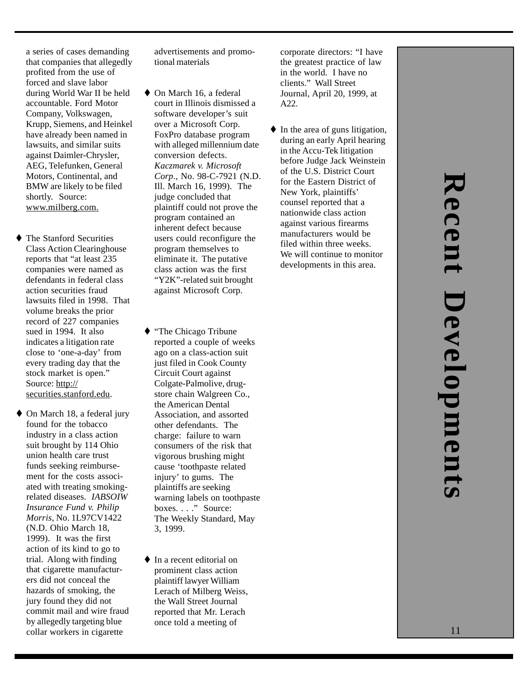a series of cases demanding that companies that allegedly profited from the use of forced and slave labor during World War II be held accountable. Ford Motor Company, Volkswagen, Krupp, Siemens, and Heinkel have already been named in lawsuits, and similar suits against Daimler-Chrysler, AEG, Telefunken, General Motors, Continental, and BMW are likely to be filed shortly. Source: www.milberg.com.

- $\blacklozenge$  The Stanford Securities Class Action Clearinghouse reports that "at least 235 companies were named as defendants in federal class action securities fraud lawsuits filed in 1998. That volume breaks the prior record of 227 companies sued in 1994. It also indicates a litigation rate close to 'one-a-day' from every trading day that the stock market is open." Source: http:// securities.stanford.edu.
- $\blacklozenge$  On March 18, a federal jury found for the tobacco industry in a class action suit brought by 114 Ohio union health care trust funds seeking reimbursement for the costs associated with treating smokingrelated diseases. *IABSOIW Insurance Fund v. Philip Morris*, No. 1L97CV1422 (N.D. Ohio March 18, 1999). It was the first action of its kind to go to trial. Along with finding that cigarette manufacturers did not conceal the hazards of smoking, the jury found they did not commit mail and wire fraud by allegedly targeting blue collar workers in cigarette

advertisements and promotional materials

- $\blacklozenge$  On March 16, a federal court in Illinois dismissed a software developer's suit over a Microsoft Corp. FoxPro database program with alleged millennium date conversion defects. *Kaczmarek v. Microsoft Corp*., No. 98-C-7921 (N.D. Ill. March 16, 1999). The judge concluded that plaintiff could not prove the program contained an inherent defect because users could reconfigure the program themselves to eliminate it. The putative class action was the first "Y2K"-related suit brought against Microsoft Corp.
- ◆ "The Chicago Tribune reported a couple of weeks ago on a class-action suit just filed in Cook County Circuit Court against Colgate-Palmolive, drugstore chain Walgreen Co., the American Dental Association, and assorted other defendants. The charge: failure to warn consumers of the risk that vigorous brushing might cause 'toothpaste related injury' to gums. The plaintiffs are seeking warning labels on toothpaste boxes. . . . " Source: The Weekly Standard, May 3, 1999.
- $\blacklozenge$  In a recent editorial on prominent class action plaintiff lawyer William Lerach of Milberg Weiss, the Wall Street Journal reported that Mr. Lerach once told a meeting of

corporate directors: "I have the greatest practice of law in the world. I have no clients." Wall Street Journal, April 20, 1999, at A22.

 $\blacklozenge$  In the area of guns litigation, during an early April hearing in the Accu-Tek litigation before Judge Jack Weinstein of the U.S. District Court for the Eastern District of New York, plaintiffs' counsel reported that a nationwide class action against various firearms manufacturers would be filed within three weeks. We will continue to monitor developments in this area.